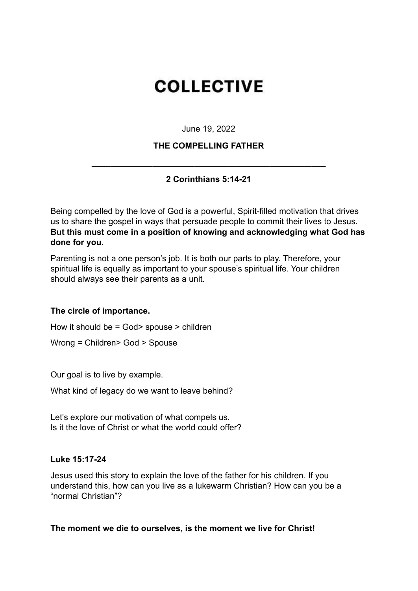# **COLLECTIVE**

June 19, 2022

# **THE COMPELLING FATHER**

# **2 Corinthians 5:14-21**

**\_\_\_\_\_\_\_\_\_\_\_\_\_\_\_\_\_\_\_\_\_\_\_\_\_\_\_\_\_\_\_\_\_\_\_\_\_\_\_\_\_\_\_\_\_\_\_\_\_\_**

Being compelled by the love of God is a powerful, Spirit-filled motivation that drives us to share the gospel in ways that persuade people to commit their lives to Jesus. **But this must come in a position of knowing and acknowledging what God has done for you**.

Parenting is not a one person's job. It is both our parts to play. Therefore, your spiritual life is equally as important to your spouse's spiritual life. Your children should always see their parents as a unit.

### **The circle of importance.**

How it should be = God> spouse > children

Wrong = Children> God > Spouse

Our goal is to live by example.

What kind of legacy do we want to leave behind?

Let's explore our motivation of what compels us. Is it the love of Christ or what the world could offer?

#### **Luke 15:17-24**

Jesus used this story to explain the love of the father for his children. If you understand this, how can you live as a lukewarm Christian? How can you be a "normal Christian"?

**The moment we die to ourselves, is the moment we live for Christ!**